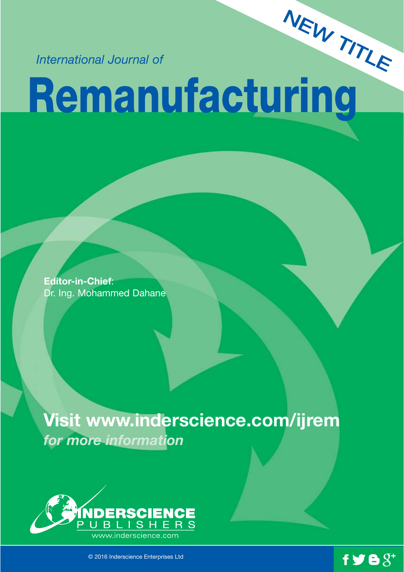*International Journal of* 

# **Remanufacturing** NEW TITLE

**Editor-in-Chief**: Dr. Ing. Mohammed Dahane

## **Visit www.inderscience.com/ijrem** *for more information*



© 2016 Inderscience Enterprises Ltd